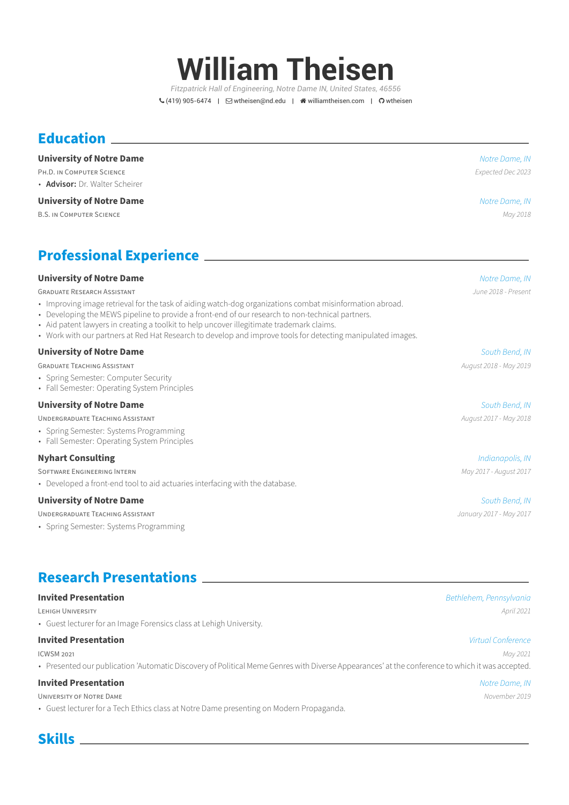# **William Theisen**

*Fitzpatrick Hall of Engineering, Notre Dame IN, United States, 46556*  $\mathcal{L}(419)$  905-6474 |  $\Box$  [wtheisen@nd.edu](mailto:wtheisen@nd.edu) |  $\triangle$  [williamtheisen.com](http://williamtheisen.com) |  $\Omega$  [wtheisen](https://github.com/wtheisen)

## **Education**

### **University of Notre Dame** *Notre Dame, IN*

PH.D. iN COMPUTER SCiENCE *Expected Dec 2023* • **Advisor:** Dr. Walter Scheirer

#### **University of Notre Dame** *Notre Dame, IN*

B.S. iN COMPUTER SCiENCE *May 2018*

## **Professional Experience**

#### **University of Notre Dame** *Notre Dame, IN*

GRADUATE RESEARCH ASSiSTANT *June 2018 ‑ Present*

- Improving image retrieval for the task of aiding watch-dog organizations combat misinformation abroad.
- Developing the MEWS pipeline to provide a front-end of our research to non-technical partners.
- Aid patent lawyers in creating a toolkit to help uncover illegitimate trademark claims.
- Work with our partners at Red Hat Research to develop and improve tools for detecting manipulated images.

#### **University of Notre Dame** *South Bend, IN*

GRADUATE TEACHiNG ASSiSTANT *August 2018 ‑ May 2019*

- Spring Semester: Computer Security
- Fall Semester: Operating System Principles

### **University of Notre Dame** *South Bend, IN*

UNDERGRADUATE TEACHiNG ASSiSTANT *August 2017 ‑ May 2018*

- Spring Semester: Systems Programming
- Fall Semester: Operating System Principles

### **Nyhart Consulting** *Indianapolis, IN*

SOFTWARE ENGiNEERiNG INTERN *May 2017 ‑ August 2017*

• Developed a front-end tool to aid actuaries interfacing with the database.

#### **University of Notre Dame** *South Bend, IN*

UNDERGRADUATE TEACHiNG ASSiSTANT *January 2017 ‑ May 2017*

• Spring Semester: Systems Programming

### **Research Presentations**

#### **Invited Presentation** *Bethlehem, Pennsylvania*

LEHiGH UNiVERSiTY *April 2021*

• Guest lecturer for an Image Forensics class at Lehigh University.

#### **Invited Presentation** *Virtual Conference*

ICWSM 2021 *May 2021*

• Presented our publication 'Automatic Discovery of Political Meme Genres with Diverse Appearances' at the conference to which it was accepted.

#### **Invited Presentation** *Notre Dame, IN*

UNiVERSiTY OF NOTRE DAME *November 2019*

• Guest lecturer for a Tech Ethics class at Notre Dame presenting on Modern Propaganda.